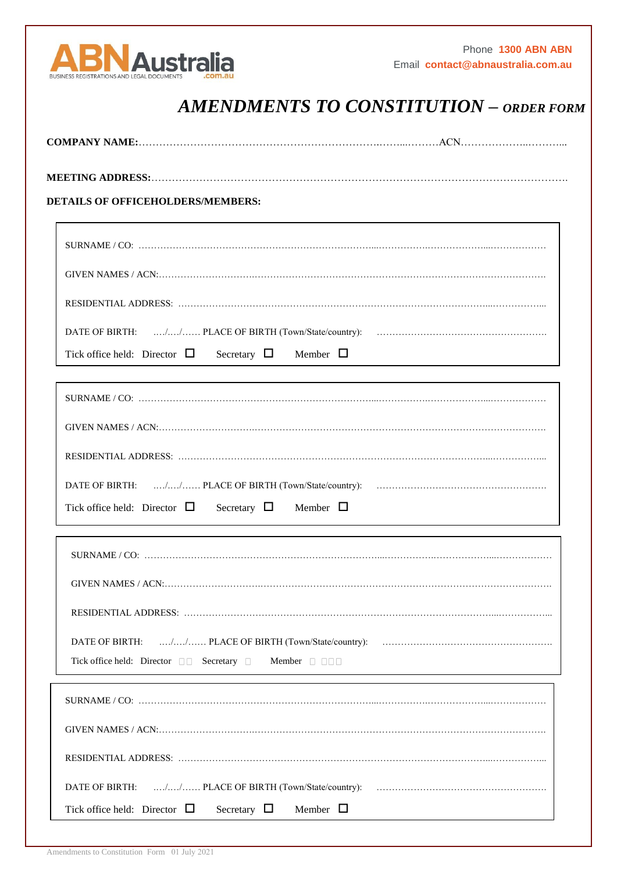

## *AMENDMENTS TO CONSTITUTION – ORDER FORM*

| <b>DETAILS OF OFFICEHOLDERS/MEMBERS:</b>                                 |
|--------------------------------------------------------------------------|
|                                                                          |
|                                                                          |
|                                                                          |
| Tick office held: Director $\Box$ Secretary $\Box$ Member $\Box$         |
|                                                                          |
|                                                                          |
|                                                                          |
| Tick office held: Director $\Box$ Secretary $\Box$ Member $\Box$         |
|                                                                          |
|                                                                          |
|                                                                          |
| Tick office held: Director □□ Secretary □<br>Member $\Box$ $\Box$ $\Box$ |
|                                                                          |
|                                                                          |
|                                                                          |
| DATE OF BIRTH:                                                           |
| Tick office held: Director $\Box$<br>Secretary $\Box$<br>Member $\Box$   |